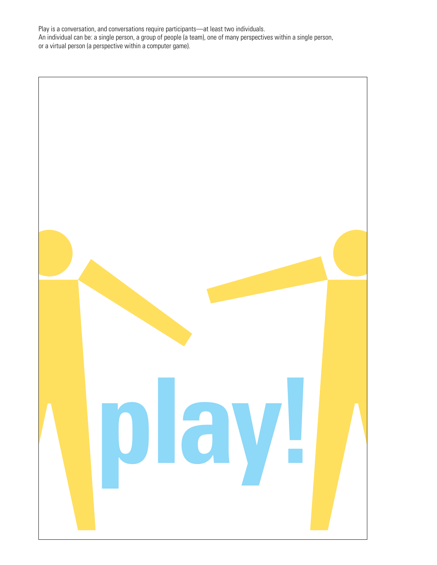Play is a conversation, and conversations require participants—at least two individuals. An individual can be: a single person, a group of people (a team), one of many perspectives within a single person, or a virtual person (a perspective within a computer game).

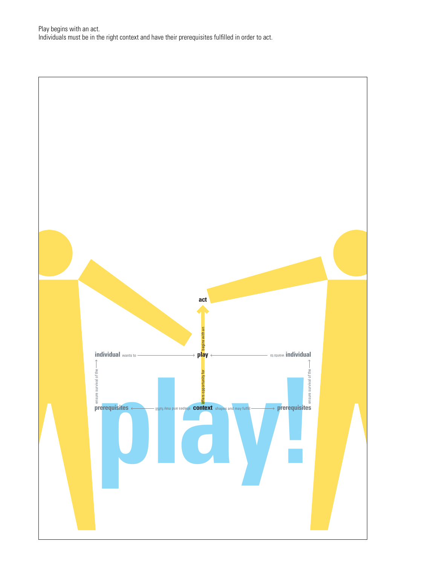Play begins with an act. Individuals must be in the right context and have their prerequisites fulfilled in order to act.

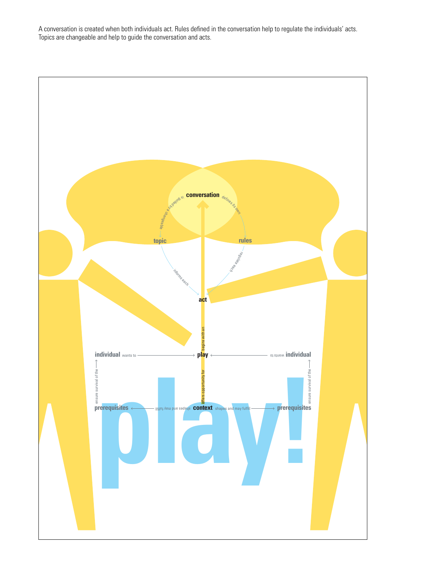A conversation is created when both individuals act. Rules defined in the conversation help to regulate the individuals' acts. Topics are changeable and help to guide the conversation and acts.

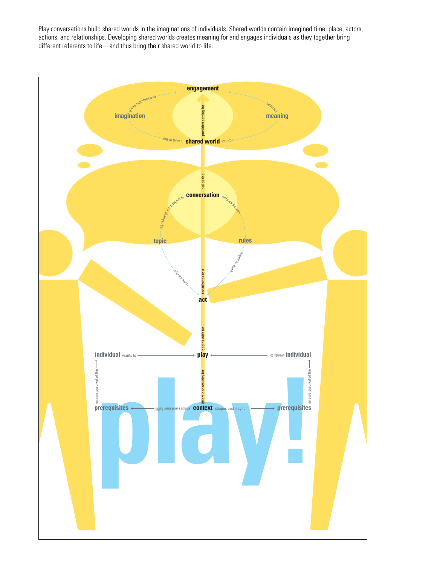Play conversations build shared worlds in the imaginations of individuals. Shared worlds contain imagined time, place, actors, actions, and relationships. Developing shared worlds creates meaning for and engages individuals as they together bring different referents to life—and thus bring their shared world to life.

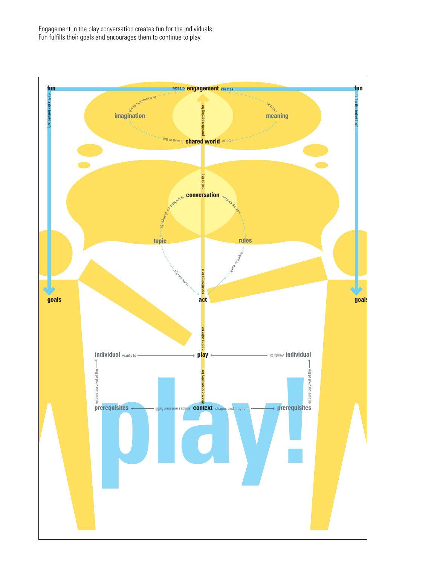Engagement in the play conversation creates fun for the individuals. Fun fulfills their goals and encourages them to continue to play.

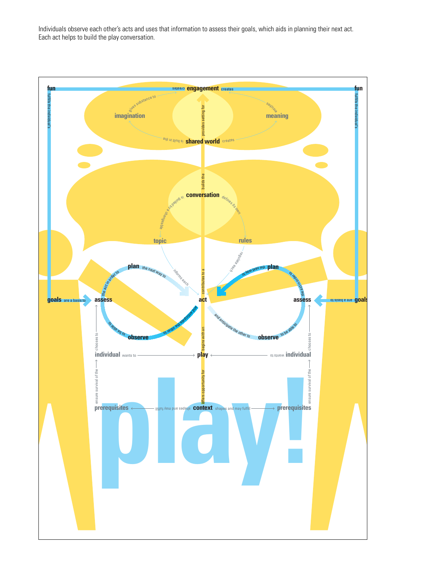Individuals observe each other's acts and uses that information to assess their goals, which aids in planning their next act. Each act helps to build the play conversation.

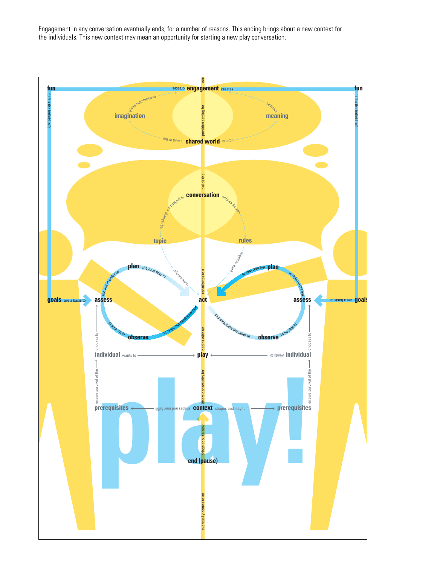Engagement in any conversation eventually ends, for a number of reasons. This ending brings about a new context for the individuals. This new context may mean an opportunity for starting a new play conversation.

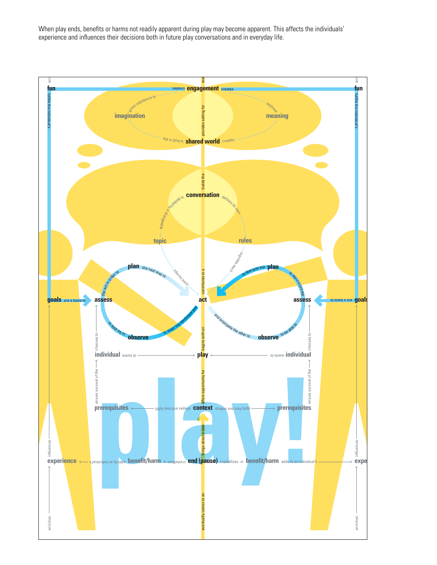When play ends, benefits or harms not readily apparent during play may become apparent. This affects the individuals' experience and influences their decisions both in future play conversations and in everyday life.

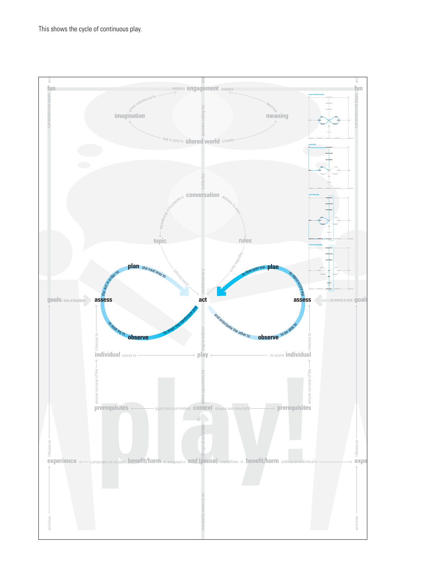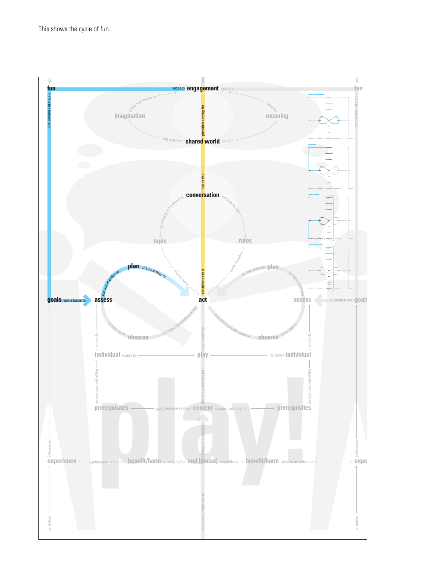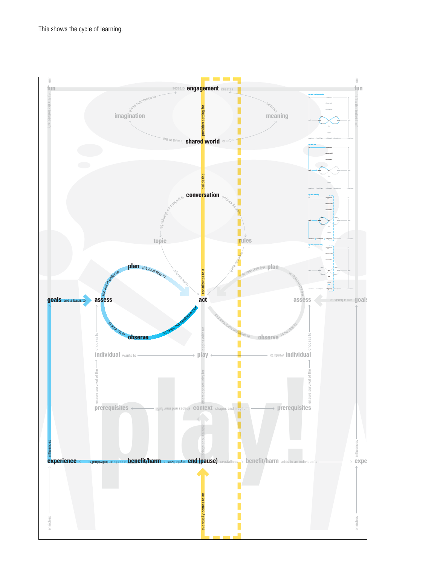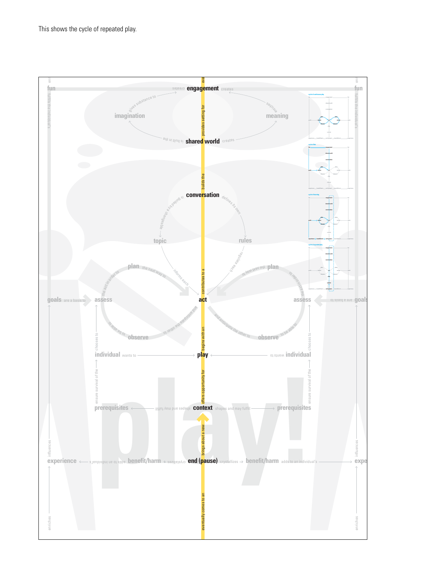